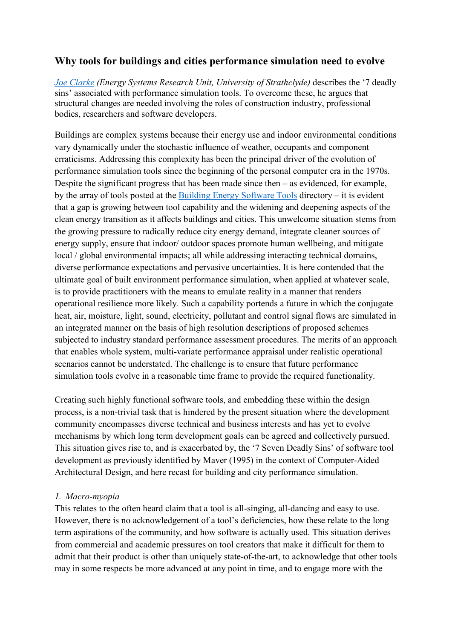# Why tools for buildings and cities performance simulation need to evolve

Joe Clarke (Energy Systems Research Unit, University of Strathclyde) describes the '7 deadly sins' associated with performance simulation tools. To overcome these, he argues that structural changes are needed involving the roles of construction industry, professional bodies, researchers and software developers.

Buildings are complex systems because their energy use and indoor environmental conditions vary dynamically under the stochastic influence of weather, occupants and component erraticisms. Addressing this complexity has been the principal driver of the evolution of performance simulation tools since the beginning of the personal computer era in the 1970s. Despite the significant progress that has been made since then – as evidenced, for example, by the array of tools posted at the Building Energy Software Tools directory – it is evident that a gap is growing between tool capability and the widening and deepening aspects of the clean energy transition as it affects buildings and cities. This unwelcome situation stems from the growing pressure to radically reduce city energy demand, integrate cleaner sources of energy supply, ensure that indoor/ outdoor spaces promote human wellbeing, and mitigate local / global environmental impacts; all while addressing interacting technical domains, diverse performance expectations and pervasive uncertainties. It is here contended that the ultimate goal of built environment performance simulation, when applied at whatever scale, is to provide practitioners with the means to emulate reality in a manner that renders operational resilience more likely. Such a capability portends a future in which the conjugate heat, air, moisture, light, sound, electricity, pollutant and control signal flows are simulated in an integrated manner on the basis of high resolution descriptions of proposed schemes subjected to industry standard performance assessment procedures. The merits of an approach that enables whole system, multi-variate performance appraisal under realistic operational scenarios cannot be understated. The challenge is to ensure that future performance simulation tools evolve in a reasonable time frame to provide the required functionality.

Creating such highly functional software tools, and embedding these within the design process, is a non-trivial task that is hindered by the present situation where the development community encompasses diverse technical and business interests and has yet to evolve mechanisms by which long term development goals can be agreed and collectively pursued. This situation gives rise to, and is exacerbated by, the '7 Seven Deadly Sins' of software tool development as previously identified by Maver (1995) in the context of Computer-Aided Architectural Design, and here recast for building and city performance simulation.

#### 1. Macro-myopia

This relates to the often heard claim that a tool is all-singing, all-dancing and easy to use. However, there is no acknowledgement of a tool's deficiencies, how these relate to the long term aspirations of the community, and how software is actually used. This situation derives from commercial and academic pressures on tool creators that make it difficult for them to admit that their product is other than uniquely state-of-the-art, to acknowledge that other tools may in some respects be more advanced at any point in time, and to engage more with the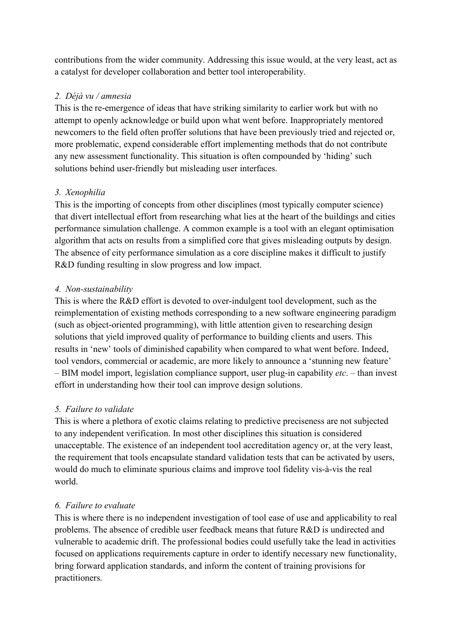contributions from the wider community. Addressing this issue would, at the very least, act as a catalyst for developer collaboration and better tool interoperability.

### 2. Déjà vu / amnesia

This is the re-emergence of ideas that have striking similarity to earlier work but with no attempt to openly acknowledge or build upon what went before. Inappropriately mentored newcomers to the field often proffer solutions that have been previously tried and rejected or, more problematic, expend considerable effort implementing methods that do not contribute any new assessment functionality. This situation is often compounded by 'hiding' such solutions behind user-friendly but misleading user interfaces.

## 3. Xenophilia

This is the importing of concepts from other disciplines (most typically computer science) that divert intellectual effort from researching what lies at the heart of the buildings and cities performance simulation challenge. A common example is a tool with an elegant optimisation algorithm that acts on results from a simplified core that gives misleading outputs by design. The absence of city performance simulation as a core discipline makes it difficult to justify R&D funding resulting in slow progress and low impact.

### 4. Non-sustainability

This is where the R&D effort is devoted to over-indulgent tool development, such as the reimplementation of existing methods corresponding to a new software engineering paradigm (such as object-oriented programming), with little attention given to researching design solutions that yield improved quality of performance to building clients and users. This results in 'new' tools of diminished capability when compared to what went before. Indeed, tool vendors, commercial or academic, are more likely to announce a 'stunning new feature'  $-$  BIM model import, legislation compliance support, user plug-in capability *etc.*  $-$  than invest effort in understanding how their tool can improve design solutions.

## 5. Failure to validate

This is where a plethora of exotic claims relating to predictive preciseness are not subjected to any independent verification. In most other disciplines this situation is considered unacceptable. The existence of an independent tool accreditation agency or, at the very least, the requirement that tools encapsulate standard validation tests that can be activated by users, would do much to eliminate spurious claims and improve tool fidelity vis-à-vis the real world.

## 6. Failure to evaluate

This is where there is no independent investigation of tool ease of use and applicability to real problems. The absence of credible user feedback means that future R&D is undirected and vulnerable to academic drift. The professional bodies could usefully take the lead in activities focused on applications requirements capture in order to identify necessary new functionality, bring forward application standards, and inform the content of training provisions for practitioners.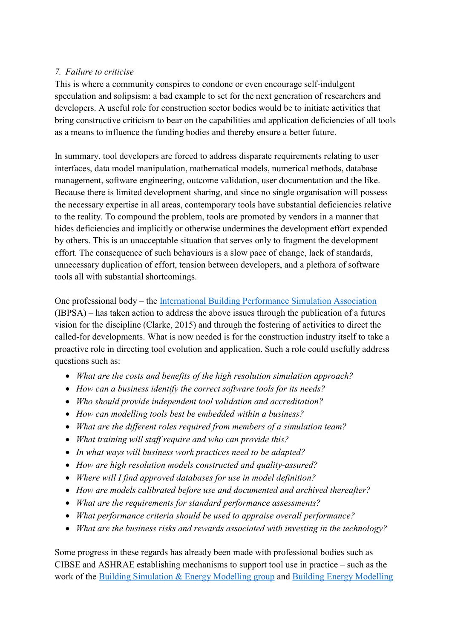#### 7. Failure to criticise

This is where a community conspires to condone or even encourage self-indulgent speculation and solipsism: a bad example to set for the next generation of researchers and developers. A useful role for construction sector bodies would be to initiate activities that bring constructive criticism to bear on the capabilities and application deficiencies of all tools as a means to influence the funding bodies and thereby ensure a better future.

In summary, tool developers are forced to address disparate requirements relating to user interfaces, data model manipulation, mathematical models, numerical methods, database management, software engineering, outcome validation, user documentation and the like. Because there is limited development sharing, and since no single organisation will possess the necessary expertise in all areas, contemporary tools have substantial deficiencies relative to the reality. To compound the problem, tools are promoted by vendors in a manner that hides deficiencies and implicitly or otherwise undermines the development effort expended by others. This is an unacceptable situation that serves only to fragment the development effort. The consequence of such behaviours is a slow pace of change, lack of standards, unnecessary duplication of effort, tension between developers, and a plethora of software tools all with substantial shortcomings.

One professional body – the International Building Performance Simulation Association (IBPSA) – has taken action to address the above issues through the publication of a futures vision for the discipline (Clarke, 2015) and through the fostering of activities to direct the called-for developments. What is now needed is for the construction industry itself to take a proactive role in directing tool evolution and application. Such a role could usefully address questions such as:

- What are the costs and benefits of the high resolution simulation approach?
- How can a business identify the correct software tools for its needs?
- Who should provide independent tool validation and accreditation?
- How can modelling tools best be embedded within a business?
- What are the different roles required from members of a simulation team?
- What training will staff require and who can provide this?
- In what ways will business work practices need to be adapted?
- How are high resolution models constructed and quality-assured?
- Where will I find approved databases for use in model definition?
- How are models calibrated before use and documented and archived thereafter?
- What are the requirements for standard performance assessments?
- What performance criteria should be used to appraise overall performance?
- What are the business risks and rewards associated with investing in the technology?

Some progress in these regards has already been made with professional bodies such as CIBSE and ASHRAE establishing mechanisms to support tool use in practice – such as the work of the Building Simulation & Energy Modelling group and Building Energy Modelling